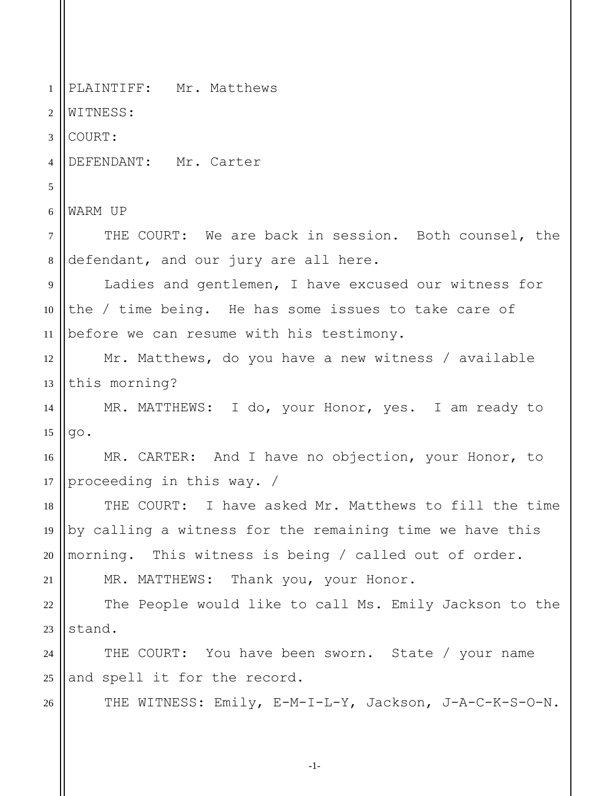1 2 3 4 5 6 7 8 9 10 11 12 13 14 15 16 17 18 19 20 21 22 23 24 25 26 PLAINTIFF: Mr. Matthews WITNESS: COURT: DEFENDANT: Mr. Carter WARM UP THE COURT: We are back in session. Both counsel, the defendant, and our jury are all here. Ladies and gentlemen, I have excused our witness for the / time being. He has some issues to take care of before we can resume with his testimony. Mr. Matthews, do you have a new witness / available this morning? MR. MATTHEWS: I do, your Honor, yes. I am ready to go. MR. CARTER: And I have no objection, your Honor, to proceeding in this way. / THE COURT: I have asked Mr. Matthews to fill the time by calling a witness for the remaining time we have this morning. This witness is being / called out of order. MR. MATTHEWS: Thank you, your Honor. The People would like to call Ms. Emily Jackson to the stand. THE COURT: You have been sworn. State / your name and spell it for the record. THE WITNESS: Emily, E-M-I-L-Y, Jackson, J-A-C-K-S-O-N.

-1-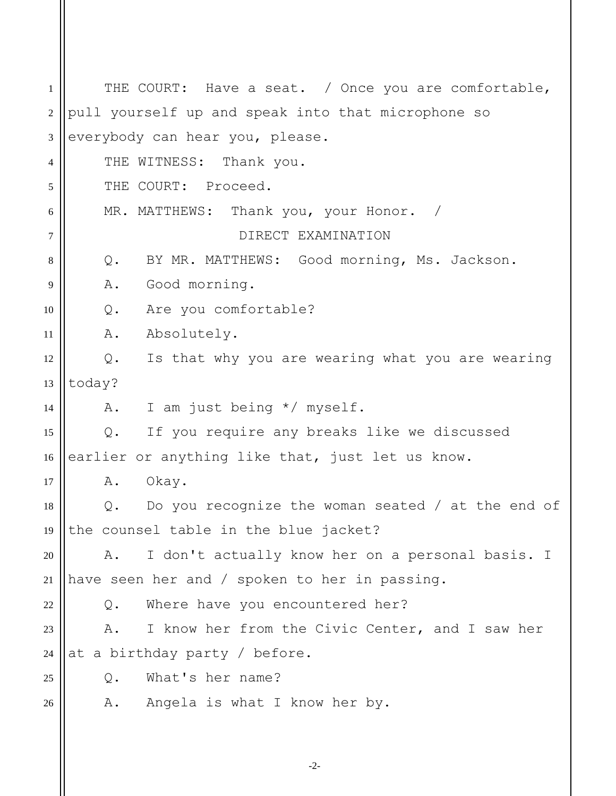1 2 3 4 5 6 7 8 9 10 11 12 13 14 15 16 17 18 19 20 21 22 23 24 25 26 THE COURT: Have a seat. / Once you are comfortable, pull yourself up and speak into that microphone so everybody can hear you, please. THE WITNESS: Thank you. THE COURT: Proceed. MR. MATTHEWS: Thank you, your Honor. / DIRECT EXAMINATION Q. BY MR. MATTHEWS: Good morning, Ms. Jackson. A. Good morning. Q. Are you comfortable? A. Absolutely. Q. Is that why you are wearing what you are wearing today? A. I am just being \*/ myself. Q. If you require any breaks like we discussed earlier or anything like that, just let us know. A. Okay. Q. Do you recognize the woman seated / at the end of the counsel table in the blue jacket? A. I don't actually know her on a personal basis. I have seen her and / spoken to her in passing. Q. Where have you encountered her? A. I know her from the Civic Center, and I saw her at a birthday party / before. Q. What's her name? A. Angela is what I know her by.

-2-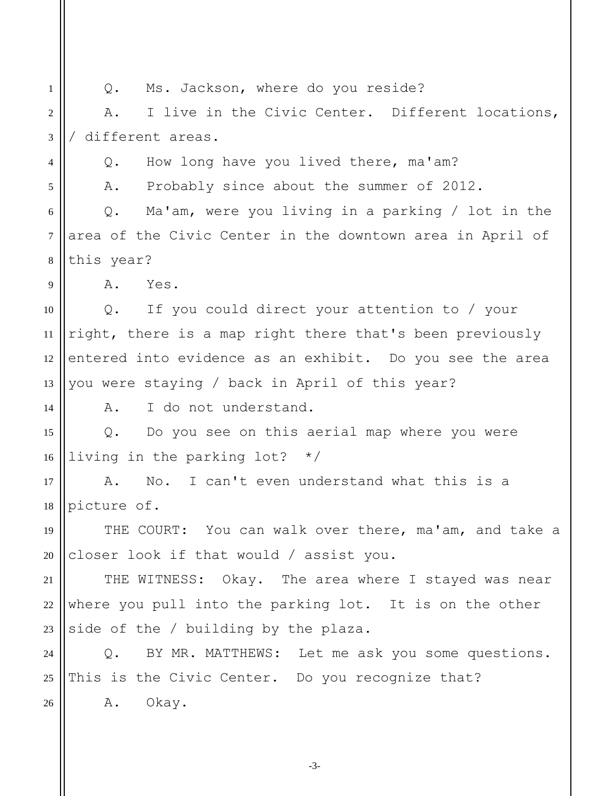1 2 3 4 5 6 7 8 9 10 11 12 13 14 15 16 17 18 19 20 21 22 23 24 25 26 Q. Ms. Jackson, where do you reside? A. I live in the Civic Center. Different locations, / different areas. Q. How long have you lived there, ma'am? A. Probably since about the summer of 2012. Q. Ma'am, were you living in a parking / lot in the area of the Civic Center in the downtown area in April of this year? A. Yes. Q. If you could direct your attention to / your right, there is a map right there that's been previously entered into evidence as an exhibit. Do you see the area you were staying / back in April of this year? A. I do not understand. Q. Do you see on this aerial map where you were living in the parking lot? \*/ A. No. I can't even understand what this is a picture of. THE COURT: You can walk over there, ma'am, and take a closer look if that would / assist you. THE WITNESS: Okay. The area where I stayed was near where you pull into the parking lot. It is on the other side of the / building by the plaza. Q. BY MR. MATTHEWS: Let me ask you some questions. This is the Civic Center. Do you recognize that? A. Okay.

-3-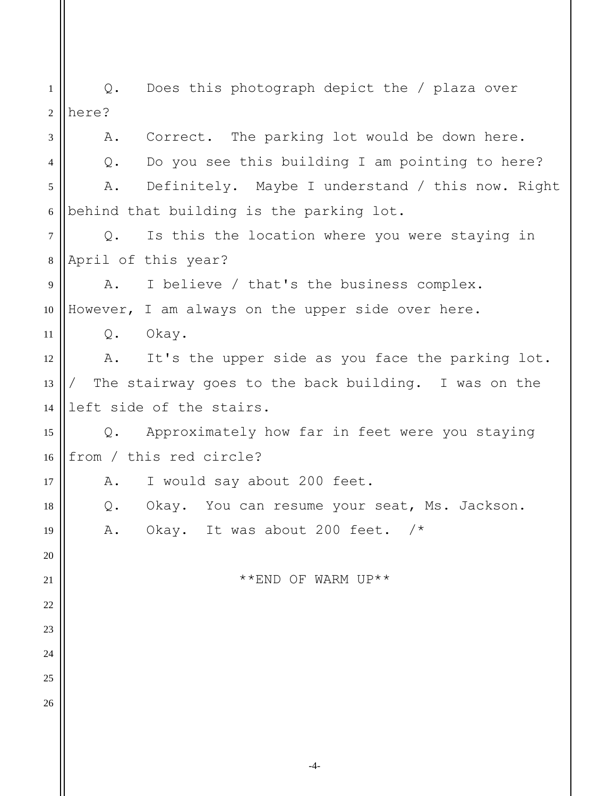1 2 3 4 5 6 7 8 9 10 11 12 13 14 15 16 17 18 19 20 21 22 23 24 25 26 Q. Does this photograph depict the / plaza over here? A. Correct. The parking lot would be down here. Q. Do you see this building I am pointing to here? A. Definitely. Maybe I understand / this now. Right behind that building is the parking lot. Q. Is this the location where you were staying in April of this year? A. I believe / that's the business complex. However, I am always on the upper side over here. Q. Okay. A. It's the upper side as you face the parking lot. The stairway goes to the back building. I was on the left side of the stairs. Q. Approximately how far in feet were you staying from / this red circle? A. I would say about 200 feet. Q. Okay. You can resume your seat, Ms. Jackson. A. Okay. It was about 200 feet. /\* \*\*END OF WARM UP\*\*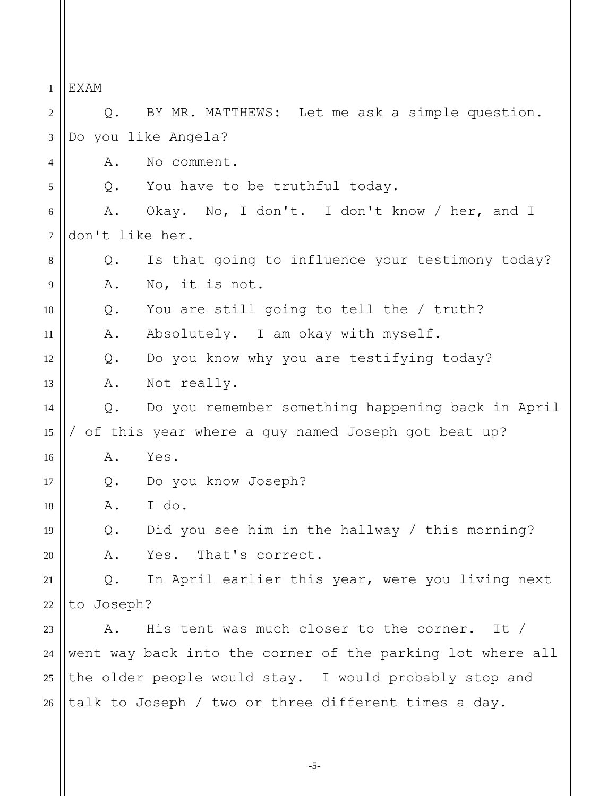1 2 3 4 5 6 7 8 9 10 11 12 13 14 15 16 17 18 19 20 21 22 23 24 25 26 EXAM Q. BY MR. MATTHEWS: Let me ask a simple question. Do you like Angela? A. No comment. Q. You have to be truthful today. A. Okay. No, I don't. I don't know / her, and I don't like her. Q. Is that going to influence your testimony today? A. No, it is not. Q. You are still going to tell the / truth? A. Absolutely. I am okay with myself. Q. Do you know why you are testifying today? A. Not really. Q. Do you remember something happening back in April / of this year where a guy named Joseph got beat up? A. Yes. Q. Do you know Joseph? A. I do. Q. Did you see him in the hallway / this morning? A. Yes. That's correct. Q. In April earlier this year, were you living next to Joseph? A. His tent was much closer to the corner. It / went way back into the corner of the parking lot where all the older people would stay. I would probably stop and talk to Joseph / two or three different times a day.

-5-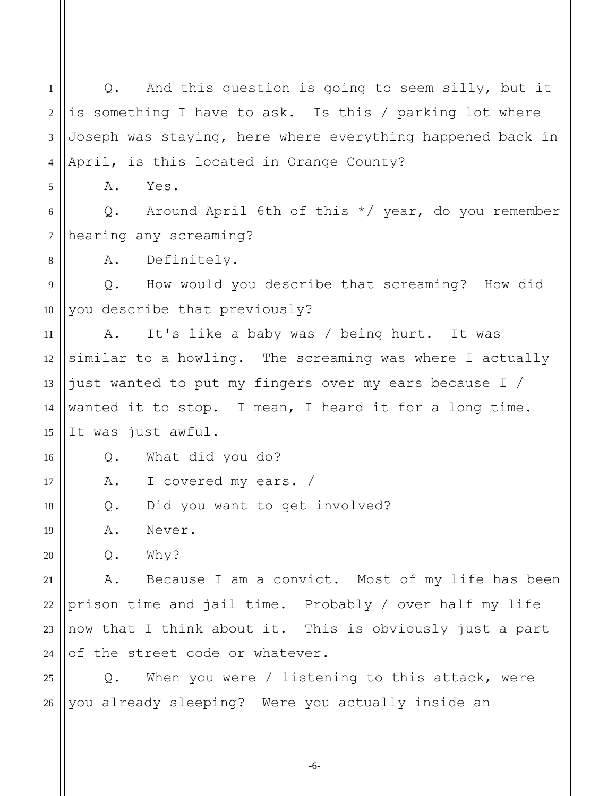1 2 3 4 5 6 7 8 9 10 11 12 13 14 15 16 17 18 19 20 21 22 23 24 25 26 Q. And this question is going to seem silly, but it is something I have to ask. Is this / parking lot where Joseph was staying, here where everything happened back in April, is this located in Orange County? A. Yes. Q. Around April 6th of this \*/ year, do you remember hearing any screaming? A. Definitely. Q. How would you describe that screaming? How did you describe that previously? A. It's like a baby was / being hurt. It was similar to a howling. The screaming was where I actually just wanted to put my fingers over my ears because I / wanted it to stop. I mean, I heard it for a long time. It was just awful. Q. What did you do? A. I covered my ears. / Q. Did you want to get involved? A. Never. Q. Why? A. Because I am a convict. Most of my life has been prison time and jail time. Probably / over half my life now that I think about it. This is obviously just a part of the street code or whatever. Q. When you were / listening to this attack, were you already sleeping? Were you actually inside an

-6-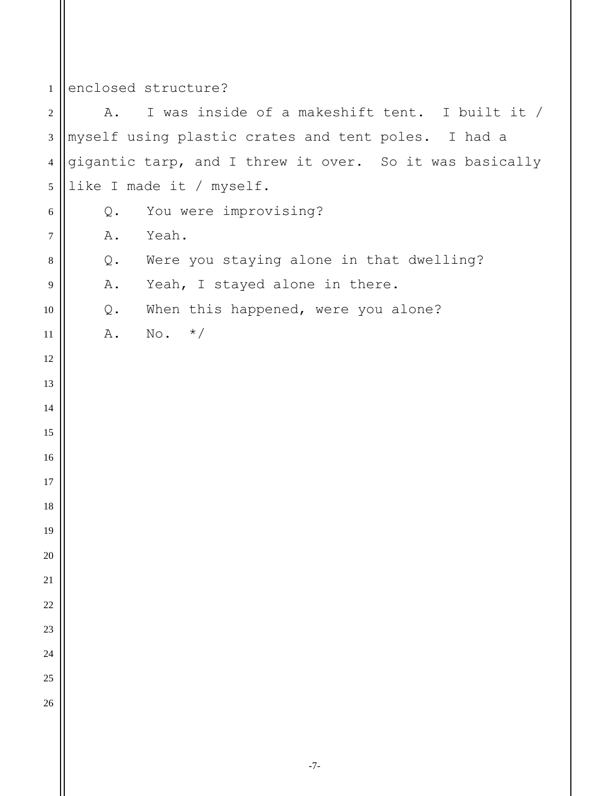## enclosed structure?

 A. I was inside of a makeshift tent. I built it / myself using plastic crates and tent poles. I had a gigantic tarp, and I threw it over. So it was basically like I made it / myself. Q. You were improvising? A. Yeah. Q. Were you staying alone in that dwelling? A. Yeah, I stayed alone in there. Q. When this happened, were you alone? A. No.  $*/$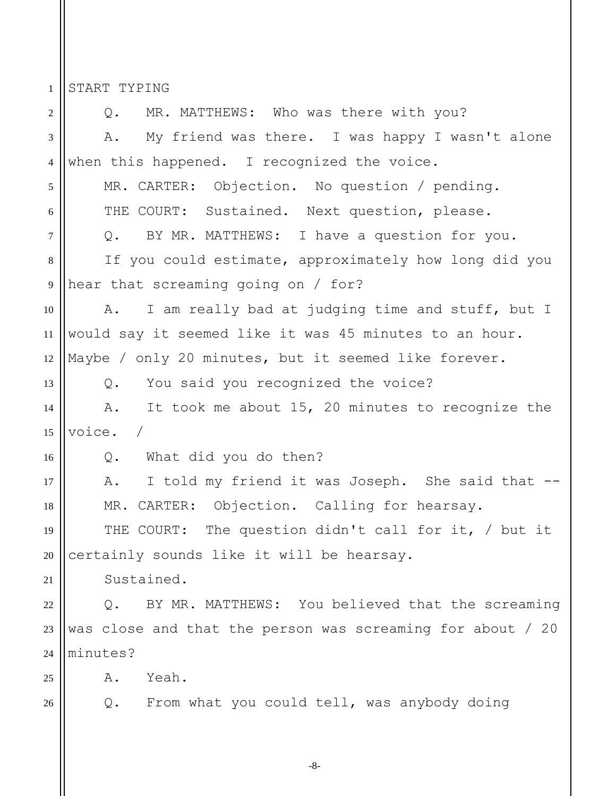START TYPING

1

2 3 4 5 6 7 8 9 10 11 12 13 14 15 16 17 18 19 20 21 22 23 24 25 26 Q. MR. MATTHEWS: Who was there with you? A. My friend was there. I was happy I wasn't alone when this happened. I recognized the voice. MR. CARTER: Objection. No question / pending. THE COURT: Sustained. Next question, please. Q. BY MR. MATTHEWS: I have a question for you. If you could estimate, approximately how long did you hear that screaming going on / for? A. I am really bad at judging time and stuff, but I would say it seemed like it was 45 minutes to an hour. Maybe / only 20 minutes, but it seemed like forever. Q. You said you recognized the voice? A. It took me about 15, 20 minutes to recognize the voice. / Q. What did you do then? A. I told my friend it was Joseph. She said that --MR. CARTER: Objection. Calling for hearsay. THE COURT: The question didn't call for it, / but it certainly sounds like it will be hearsay. Sustained. Q. BY MR. MATTHEWS: You believed that the screaming was close and that the person was screaming for about / 20 minutes? A. Yeah. Q. From what you could tell, was anybody doing

-8-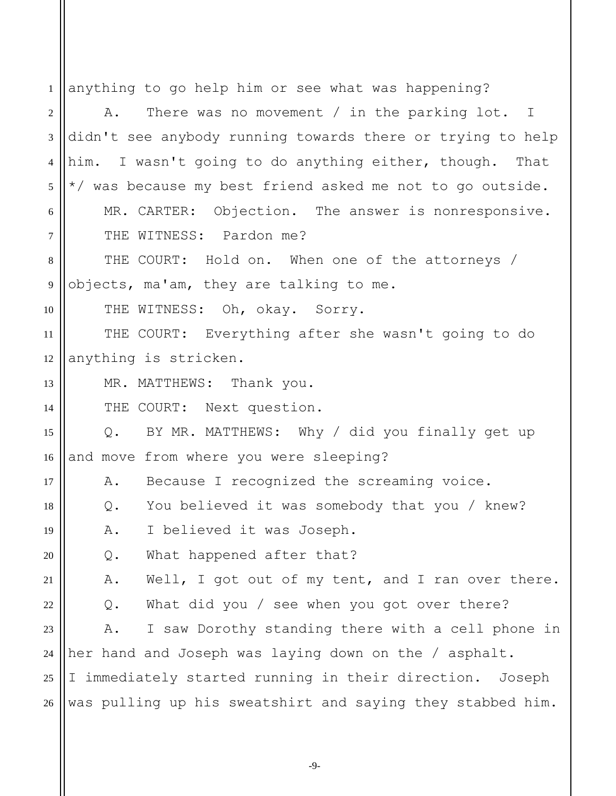| 1              | anything to go help him or see what was happening?          |
|----------------|-------------------------------------------------------------|
| $\mathfrak{2}$ | There was no movement / in the parking $lot. I$<br>Α.       |
| 3              | didn't see anybody running towards there or trying to help  |
| $\overline{4}$ | him. I wasn't going to do anything either, though. That     |
| 5              | */ was because my best friend asked me not to go outside.   |
| 6              | MR. CARTER: Objection. The answer is nonresponsive.         |
| $\overline{7}$ | THE WITNESS: Pardon me?                                     |
| 8              | THE COURT: Hold on. When one of the attorneys /             |
| $\overline{9}$ | objects, ma'am, they are talking to me.                     |
| 10             | THE WITNESS: Oh, okay. Sorry.                               |
| 11             | THE COURT: Everything after she wasn't going to do          |
| 12             | anything is stricken.                                       |
| 13             | MR. MATTHEWS: Thank you.                                    |
| 14             | THE COURT: Next question.                                   |
| 15             | Q. BY MR. MATTHEWS: Why / did you finally get up            |
| 16             | and move from where you were sleeping?                      |
| 17             | A. Because I recognized the screaming voice.                |
| 18             | Q. You believed it was somebody that you / knew?            |
| 19             | I believed it was Joseph.<br>Α.                             |
| 20             | What happened after that?<br>$\mathsf{Q}$ .                 |
| 21             | Well, I got out of my tent, and I ran over there.<br>Α.     |
| 22             | What did you / see when you got over there?<br>$Q$ .        |
| 23             | I saw Dorothy standing there with a cell phone in<br>Α.     |
| 24             | her hand and Joseph was laying down on the / asphalt.       |
| 25             | I immediately started running in their direction.<br>Joseph |
| 26             | was pulling up his sweatshirt and saying they stabbed him.  |
|                |                                                             |

-9-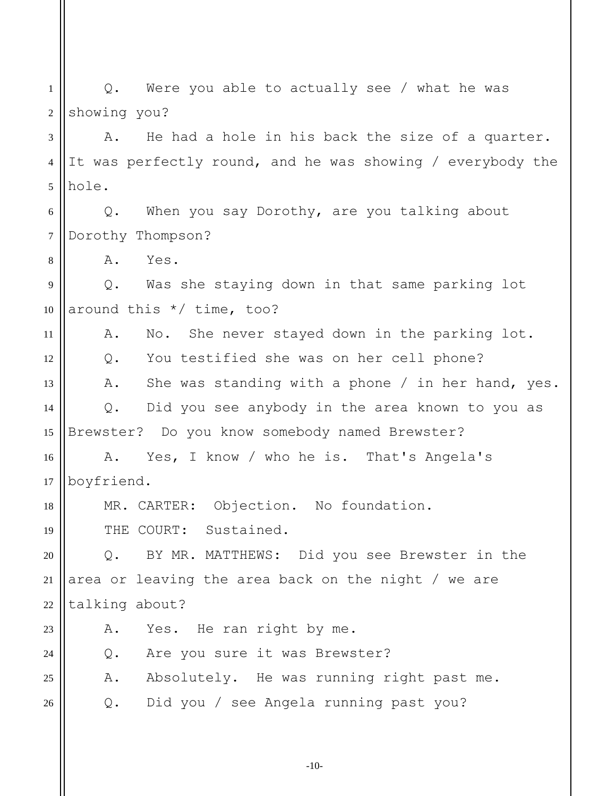1 2 Q. Were you able to actually see / what he was showing you?

3 4 5 A. He had a hole in his back the size of a quarter. It was perfectly round, and he was showing / everybody the hole.

6 7 Q. When you say Dorothy, are you talking about Dorothy Thompson?

A. Yes.

8

18

23

 $24$ 

25

9 10 Q. Was she staying down in that same parking lot around this \*/ time, too?

11 12 13 14 15 A. No. She never stayed down in the parking lot. Q. You testified she was on her cell phone? A. She was standing with a phone / in her hand, yes. Q. Did you see anybody in the area known to you as Brewster? Do you know somebody named Brewster?

16 17 A. Yes, I know / who he is. That's Angela's boyfriend.

MR. CARTER: Objection. No foundation.

19 THE COURT: Sustained.

20 21 22 Q. BY MR. MATTHEWS: Did you see Brewster in the area or leaving the area back on the night / we are talking about?

A. Yes. He ran right by me.

Q. Are you sure it was Brewster?

A. Absolutely. He was running right past me.

26 Q. Did you / see Angela running past you?

-10-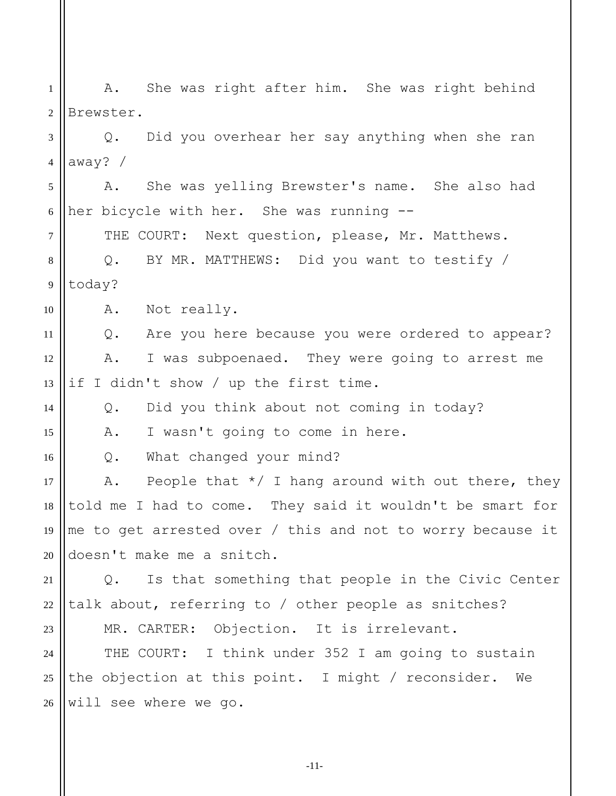1 2 A. She was right after him. She was right behind Brewster.

3 4 Q. Did you overhear her say anything when she ran away? /

5 6 A. She was yelling Brewster's name. She also had her bicycle with her. She was running --

THE COURT: Next question, please, Mr. Matthews.

8 9 Q. BY MR. MATTHEWS: Did you want to testify / today?

10 A. Not really.

7

14

15

23

11 12 13 Q. Are you here because you were ordered to appear? A. I was subpoenaed. They were going to arrest me if I didn't show / up the first time.

Q. Did you think about not coming in today?

A. I wasn't going to come in here.

16 Q. What changed your mind?

17 18 19 20 A. People that  $*/$  I hang around with out there, they told me I had to come. They said it wouldn't be smart for me to get arrested over / this and not to worry because it doesn't make me a snitch.

21 22 Q. Is that something that people in the Civic Center talk about, referring to / other people as snitches?

MR. CARTER: Objection. It is irrelevant.

24 25 26 THE COURT: I think under 352 I am going to sustain the objection at this point. I might / reconsider. We will see where we go.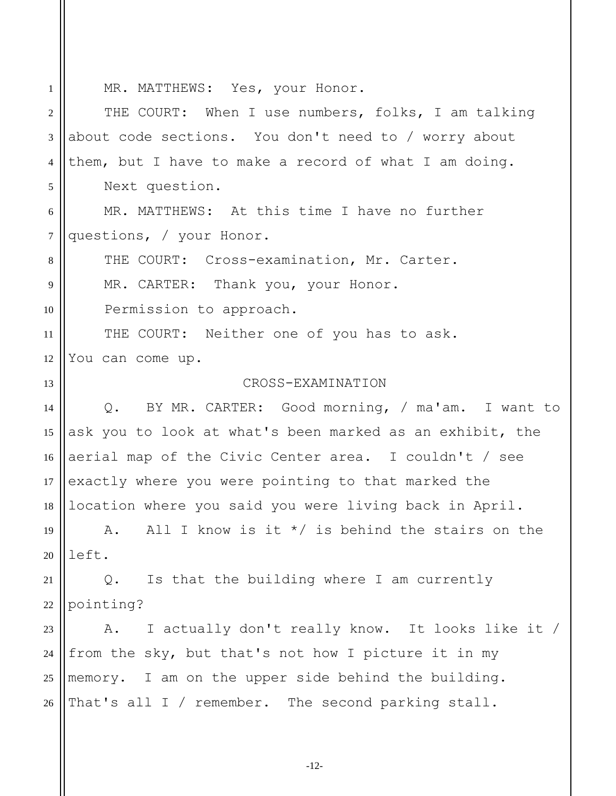1 2 3 4 5 6 7 8 9 10 11 12 13 14 15 16 17 18 19 20 21 22 23 24 25 26 MR. MATTHEWS: Yes, your Honor. THE COURT: When I use numbers, folks, I am talking about code sections. You don't need to / worry about them, but I have to make a record of what I am doing. Next question. MR. MATTHEWS: At this time I have no further questions, / your Honor. THE COURT: Cross-examination, Mr. Carter. MR. CARTER: Thank you, your Honor. Permission to approach. THE COURT: Neither one of you has to ask. You can come up. CROSS-EXAMINATION Q. BY MR. CARTER: Good morning, / ma'am. I want to ask you to look at what's been marked as an exhibit, the aerial map of the Civic Center area. I couldn't / see exactly where you were pointing to that marked the location where you said you were living back in April. A. All I know is it  $*/$  is behind the stairs on the left. Q. Is that the building where I am currently pointing? A. I actually don't really know. It looks like it / from the sky, but that's not how I picture it in my memory. I am on the upper side behind the building. That's all I / remember. The second parking stall.

-12-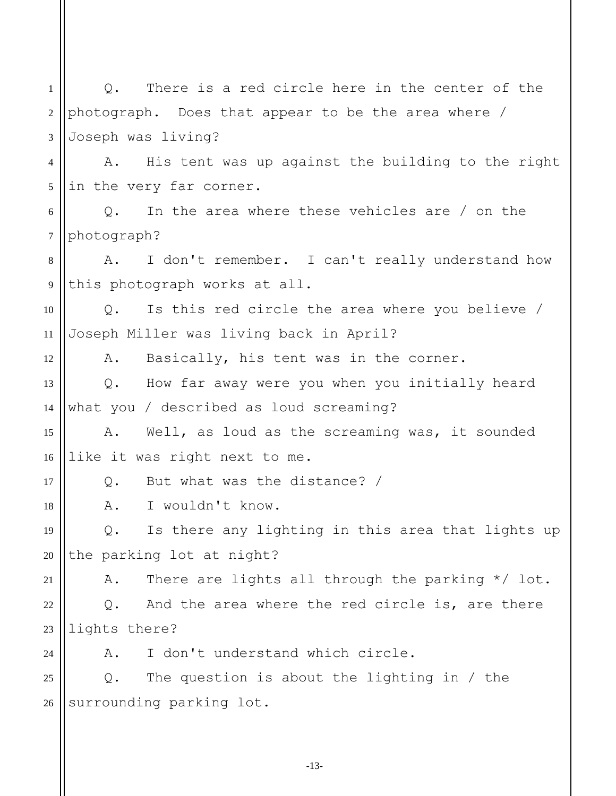1 2 3 4 5 6 7 8 9 10 11 12 13 14 15 16 17 18 19 20 21 22 23  $24$ 25 26 Q. There is a red circle here in the center of the photograph. Does that appear to be the area where / Joseph was living? A. His tent was up against the building to the right in the very far corner. Q. In the area where these vehicles are / on the photograph? A. I don't remember. I can't really understand how this photograph works at all. Q. Is this red circle the area where you believe / Joseph Miller was living back in April? A. Basically, his tent was in the corner. Q. How far away were you when you initially heard what you / described as loud screaming? A. Well, as loud as the screaming was, it sounded like it was right next to me. Q. But what was the distance? / A. I wouldn't know. Q. Is there any lighting in this area that lights up the parking lot at night? A. There are lights all through the parking \*/ lot. Q. And the area where the red circle is, are there lights there? A. I don't understand which circle. Q. The question is about the lighting in / the surrounding parking lot.

-13-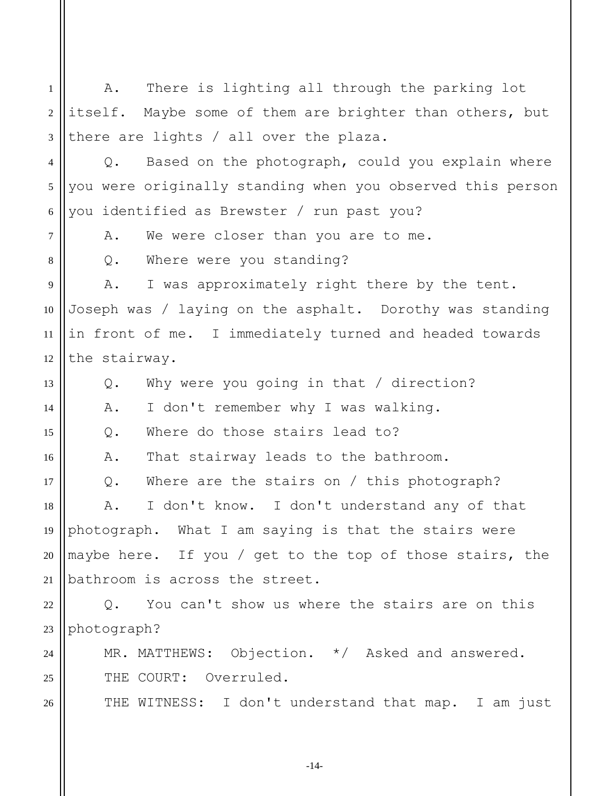1 2 3 4 A. There is lighting all through the parking lot itself. Maybe some of them are brighter than others, but there are lights / all over the plaza. Q. Based on the photograph, could you explain where

5 6 you were originally standing when you observed this person you identified as Brewster / run past you?

7

8

13

15

17

 $24$ 

25

26

A. We were closer than you are to me.

Q. Where were you standing?

9 10 11 12 A. I was approximately right there by the tent. Joseph was / laying on the asphalt. Dorothy was standing in front of me. I immediately turned and headed towards the stairway.

Q. Why were you going in that / direction?

14 A. I don't remember why I was walking.

Q. Where do those stairs lead to?

16 A. That stairway leads to the bathroom.

Q. Where are the stairs on / this photograph?

18 19 20 21 A. I don't know. I don't understand any of that photograph. What I am saying is that the stairs were maybe here. If you / get to the top of those stairs, the bathroom is across the street.

22 23 Q. You can't show us where the stairs are on this photograph?

MR. MATTHEWS: Objection. \*/ Asked and answered. THE COURT: Overruled.

THE WITNESS: I don't understand that map. I am just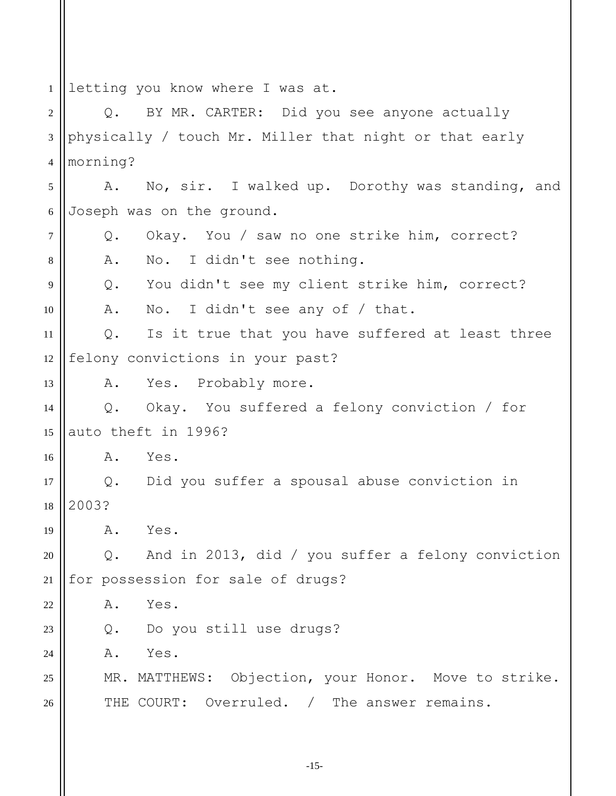1 letting you know where I was at.

2 3 4 5 6 7 8 9 10 11 12 13 14 15 16 17 18 19 20 21 22 23 24 25 26 Q. BY MR. CARTER: Did you see anyone actually physically / touch Mr. Miller that night or that early morning? A. No, sir. I walked up. Dorothy was standing, and Joseph was on the ground. Q. Okay. You / saw no one strike him, correct? A. No. I didn't see nothing. Q. You didn't see my client strike him, correct? A. No. I didn't see any of / that. Q. Is it true that you have suffered at least three felony convictions in your past? A. Yes. Probably more. Q. Okay. You suffered a felony conviction / for auto theft in 1996? A. Yes. Q. Did you suffer a spousal abuse conviction in 2003? A. Yes. Q. And in 2013, did / you suffer a felony conviction for possession for sale of drugs? A. Yes. Q. Do you still use drugs? A. Yes. MR. MATTHEWS: Objection, your Honor. Move to strike. THE COURT: Overruled. / The answer remains.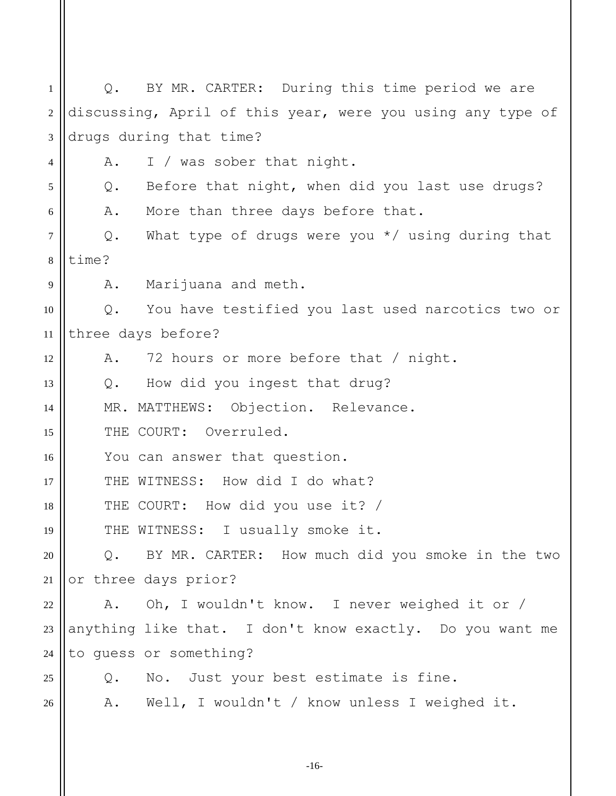1 2 3 4 5 6 7 8 9 10 11 12 13 14 15 16 17 18 19 20 21 22 23 24 25 26 Q. BY MR. CARTER: During this time period we are discussing, April of this year, were you using any type of drugs during that time? A. I / was sober that night. Q. Before that night, when did you last use drugs? A. More than three days before that. Q. What type of drugs were you \*/ using during that time? A. Marijuana and meth. Q. You have testified you last used narcotics two or three days before? A. 72 hours or more before that / night. Q. How did you ingest that drug? MR. MATTHEWS: Objection. Relevance. THE COURT: Overruled. You can answer that question. THE WITNESS: How did I do what? THE COURT: How did you use it? / THE WITNESS: I usually smoke it. Q. BY MR. CARTER: How much did you smoke in the two or three days prior? A. Oh, I wouldn't know. I never weighed it or / anything like that. I don't know exactly. Do you want me to guess or something? Q. No. Just your best estimate is fine. A. Well, I wouldn't / know unless I weighed it.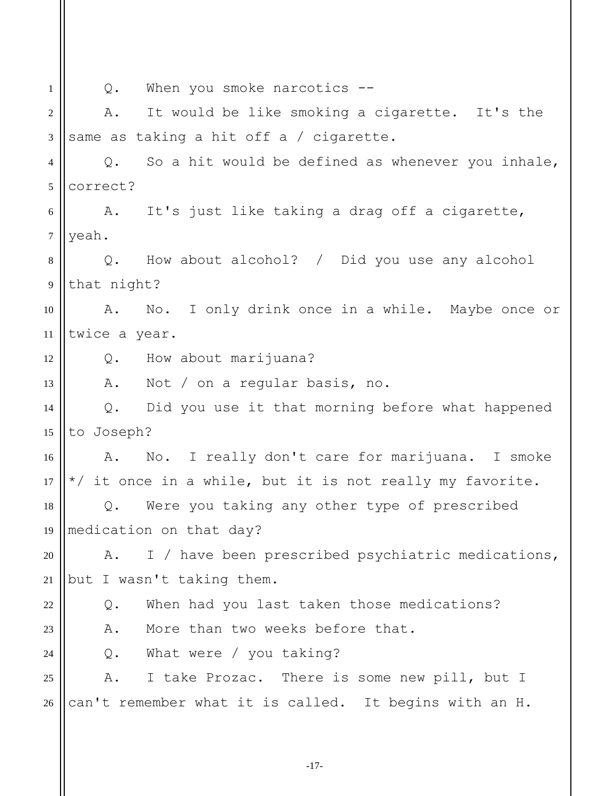1 2 3 4 5 6 7 8 9 10 11 12 13 14 15 16 17 18 19 20 21 22 23  $24$ 25 26 Q. When you smoke narcotics -- A. It would be like smoking a cigarette. It's the same as taking a hit off a / cigarette. Q. So a hit would be defined as whenever you inhale, correct? A. It's just like taking a drag off a cigarette, yeah. Q. How about alcohol? / Did you use any alcohol that night? A. No. I only drink once in a while. Maybe once or twice a year. Q. How about marijuana? A. Not / on a regular basis, no. Q. Did you use it that morning before what happened to Joseph? A. No. I really don't care for marijuana. I smoke \*/ it once in a while, but it is not really my favorite. Q. Were you taking any other type of prescribed medication on that day? A. I / have been prescribed psychiatric medications, but I wasn't taking them. Q. When had you last taken those medications? A. More than two weeks before that. Q. What were / you taking? A. I take Prozac. There is some new pill, but I can't remember what it is called. It begins with an H.

-17-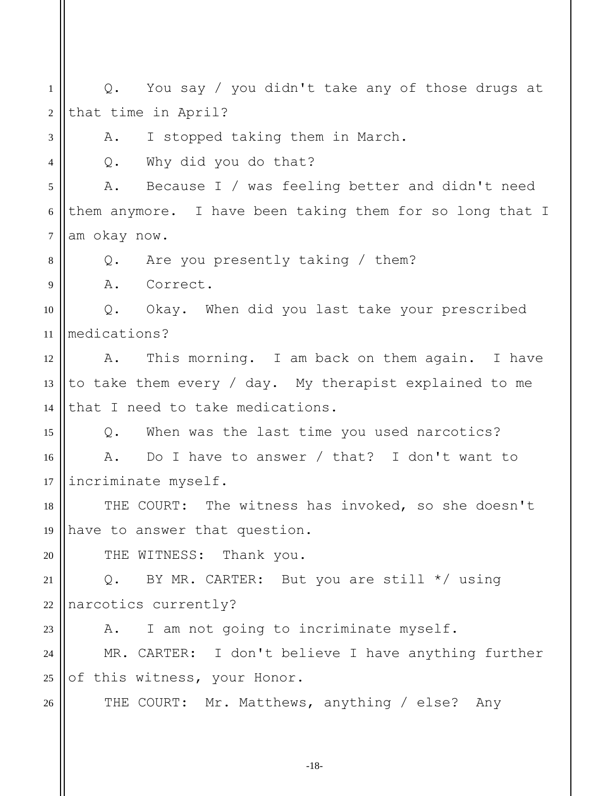1 2 3 4 5 6 7 8 9 10 11 12 13 14 15 16 17 18 19 20 21 22 23  $24$ 25 26 Q. You say / you didn't take any of those drugs at that time in April? A. I stopped taking them in March. Q. Why did you do that? A. Because I / was feeling better and didn't need them anymore. I have been taking them for so long that I am okay now. Q. Are you presently taking / them? A. Correct. Q. Okay. When did you last take your prescribed medications? A. This morning. I am back on them again. I have to take them every / day. My therapist explained to me that I need to take medications. Q. When was the last time you used narcotics? A. Do I have to answer / that? I don't want to incriminate myself. THE COURT: The witness has invoked, so she doesn't have to answer that question. THE WITNESS: Thank you. Q. BY MR. CARTER: But you are still \*/ using narcotics currently? A. I am not going to incriminate myself. MR. CARTER: I don't believe I have anything further of this witness, your Honor. THE COURT: Mr. Matthews, anything / else? Any

-18-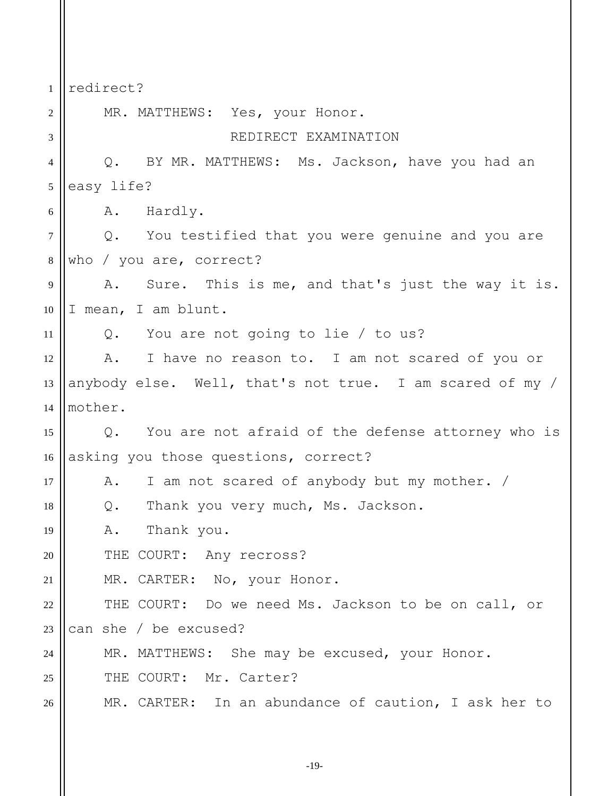1 2 3 4 5 6 7 8 9 10 11 12 13 14 15 16 17 18 19 20 21 22 23  $24$ 25 26 redirect? MR. MATTHEWS: Yes, your Honor. REDIRECT EXAMINATION Q. BY MR. MATTHEWS: Ms. Jackson, have you had an easy life? A. Hardly. Q. You testified that you were genuine and you are who / you are, correct? A. Sure. This is me, and that's just the way it is. I mean, I am blunt. Q. You are not going to lie / to us? A. I have no reason to. I am not scared of you or anybody else. Well, that's not true. I am scared of my / mother. Q. You are not afraid of the defense attorney who is asking you those questions, correct? A. I am not scared of anybody but my mother. / Q. Thank you very much, Ms. Jackson. A. Thank you. THE COURT: Any recross? MR. CARTER: No, your Honor. THE COURT: Do we need Ms. Jackson to be on call, or can she / be excused? MR. MATTHEWS: She may be excused, your Honor. THE COURT: Mr. Carter? MR. CARTER: In an abundance of caution, I ask her to